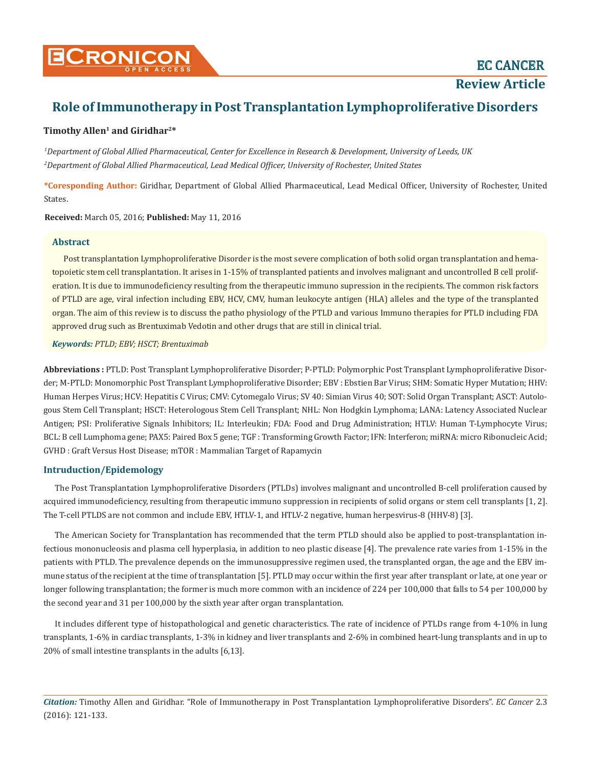**Review Article**

# **Role of Immunotherapy in Post Transplantation Lymphoproliferative Disorders**

# **Timothy Allen1 and Giridhar2\***

*1 Department of Global Allied Pharmaceutical, Center for Excellence in Research & Development, University of Leeds, UK 2 Department of Global Allied Pharmaceutical, Lead Medical Officer, University of Rochester, United States*

**\*Coresponding Author:** Giridhar, Department of Global Allied Pharmaceutical, Lead Medical Officer, University of Rochester, United States.

**Received:** March 05, 2016; **Published:** May 11, 2016

# **Abstract**

Post transplantation Lymphoproliferative Disorder is the most severe complication of both solid organ transplantation and hematopoietic stem cell transplantation. It arises in 1-15% of transplanted patients and involves malignant and uncontrolled B cell proliferation. It is due to immunodeficiency resulting from the therapeutic immuno supression in the recipients. The common risk factors of PTLD are age, viral infection including EBV, HCV, CMV, human leukocyte antigen (HLA) alleles and the type of the transplanted organ. The aim of this review is to discuss the patho physiology of the PTLD and various Immuno therapies for PTLD including FDA approved drug such as Brentuximab Vedotin and other drugs that are still in clinical trial.

*Keywords: PTLD; EBV; HSCT; Brentuximab*

**Abbreviations :** PTLD: Post Transplant Lymphoproliferative Disorder; P-PTLD: Polymorphic Post Transplant Lymphoproliferative Disorder; M-PTLD: Monomorphic Post Transplant Lymphoproliferative Disorder; EBV : Ebstien Bar Virus; SHM: Somatic Hyper Mutation; HHV: Human Herpes Virus; HCV: Hepatitis C Virus; CMV: Cytomegalo Virus; SV 40: Simian Virus 40; SOT: Solid Organ Transplant; ASCT: Autologous Stem Cell Transplant; HSCT: Heterologous Stem Cell Transplant; NHL: Non Hodgkin Lymphoma; LANA: Latency Associated Nuclear Antigen; PSI: Proliferative Signals Inhibitors; IL: Interleukin; FDA: Food and Drug Administration; HTLV: Human T-Lymphocyte Virus; BCL: B cell Lumphoma gene; PAX5: Paired Box 5 gene; TGF : Transforming Growth Factor; IFN: Interferon; miRNA: micro Ribonucleic Acid; GVHD : Graft Versus Host Disease; mTOR : Mammalian Target of Rapamycin

# **Intruduction/Epidemology**

The Post Transplantation Lymphoproliferative Disorders (PTLDs) involves malignant and uncontrolled B-cell proliferation caused by acquired immunodeficiency, resulting from therapeutic immuno suppression in recipients of solid organs or stem cell transplants [1, 2]. The T-cell PTLDS are not common and include EBV, HTLV-1, and HTLV-2 negative, human herpesvirus-8 (HHV-8) [3].

The American Society for Transplantation has recommended that the term PTLD should also be applied to post-transplantation infectious mononucleosis and plasma cell hyperplasia, in addition to neo plastic disease [4]. The prevalence rate varies from 1-15% in the patients with PTLD. The prevalence depends on the immunosuppressive regimen used, the transplanted organ, the age and the EBV immune status of the recipient at the time of transplantation [5]. PTLD may occur within the first year after transplant or late, at one year or longer following transplantation; the former is much more common with an incidence of 224 per 100,000 that falls to 54 per 100,000 by the second year and 31 per 100,000 by the sixth year after organ transplantation.

It includes different type of histopathological and genetic characteristics. The rate of incidence of PTLDs range from 4-10% in lung transplants, 1-6% in cardiac transplants, 1-3% in kidney and liver transplants and 2-6% in combined heart-lung transplants and in up to 20% of small intestine transplants in the adults [6,13].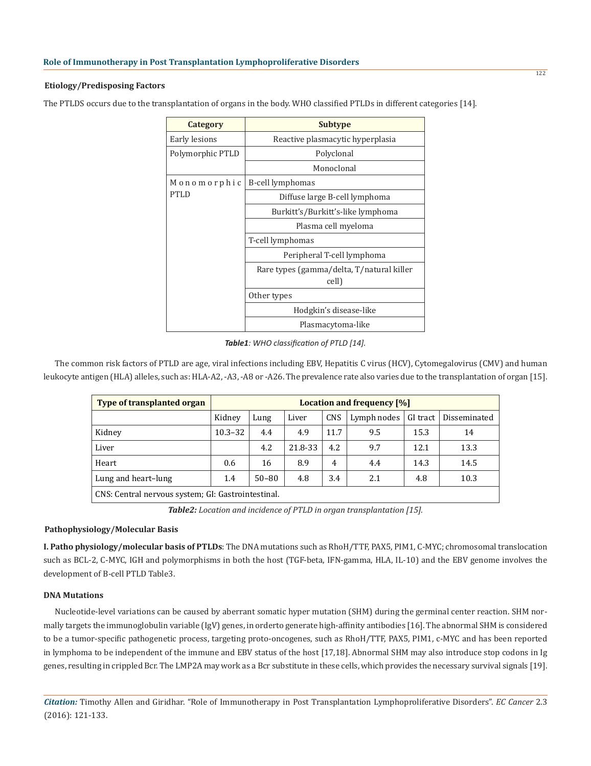#### **Etiology/Predisposing Factors**

The PTLDS occurs due to the transplantation of organs in the body. WHO classified PTLDs in different categories [14].

| Category         | <b>Subtype</b>                                     |
|------------------|----------------------------------------------------|
| Early lesions    | Reactive plasmacytic hyperplasia                   |
| Polymorphic PTLD | Polyclonal                                         |
|                  | Monoclonal                                         |
| Monomorphic      | B-cell lymphomas                                   |
| PTLD             | Diffuse large B-cell lymphoma                      |
|                  | Burkitt's/Burkitt's-like lymphoma                  |
|                  | Plasma cell myeloma                                |
|                  | T-cell lymphomas                                   |
|                  | Peripheral T-cell lymphoma                         |
|                  | Rare types (gamma/delta, T/natural killer<br>cell) |
|                  | Other types                                        |
|                  | Hodgkin's disease-like                             |
|                  | Plasmacytoma-like                                  |

*Table1: WHO classification of PTLD [14].* 

The common risk factors of PTLD are age, viral infections including EBV, Hepatitis C virus (HCV), Cytomegalovirus (CMV) and human leukocyte antigen (HLA) alleles, such as: HLA-A2, -A3, -A8 or -A26. The prevalence rate also varies due to the transplantation of organ [15].

| <b>Type of transplanted organ</b>                      | Location and frequency [%] |           |         |                |             |          |              |
|--------------------------------------------------------|----------------------------|-----------|---------|----------------|-------------|----------|--------------|
|                                                        | Kidney                     | Lung      | Liver   | <b>CNS</b>     | Lymph nodes | GI tract | Disseminated |
| Kidney                                                 | $10.3 - 32$                | 4.4       | 4.9     | 11.7           | 9.5         | 15.3     | 14           |
| Liver                                                  |                            | 4.2       | 21.8-33 | 4.2            | 9.7         | 12.1     | 13.3         |
| Heart                                                  | 0.6                        | 16        | 8.9     | $\overline{4}$ | 4.4         | 14.3     | 14.5         |
| Lung and heart-lung                                    | 1.4                        | $50 - 80$ | 4.8     | 3.4            | 2.1         | 4.8      | 10.3         |
| $CNS$ : Central nervous system: $GI:$ Gastrointestinal |                            |           |         |                |             |          |              |

vous system: GI: Gastrointestinal.

*Table2: Location and incidence of PTLD in organ transplantation [15].* 

## **Pathophysiology/Molecular Basis**

**I. Patho physiology/molecular basis of PTLDs**: The DNA mutations such as RhoH/TTF, PAX5, PIM1, C-MYC; chromosomal translocation such as BCL-2, C-MYC, IGH and polymorphisms in both the host (TGF-beta, IFN-gamma, HLA, IL-10) and the EBV genome involves the development of B-cell PTLD Table3.

## **DNA Mutations**

Nucleotide-level variations can be caused by aberrant somatic hyper mutation (SHM) during the germinal center reaction. SHM normally targets the immunoglobulin variable (IgV) genes, in orderto generate high-affinity antibodies [16]. The abnormal SHM is considered to be a tumor-specific pathogenetic process, targeting proto-oncogenes, such as RhoH/TTF, PAX5, PIM1, c-MYC and has been reported in lymphoma to be independent of the immune and EBV status of the host [17,18]. Abnormal SHM may also introduce stop codons in Ig genes, resulting in crippled Bcr. The LMP2A may work as a Bcr substitute in these cells, which provides the necessary survival signals [19].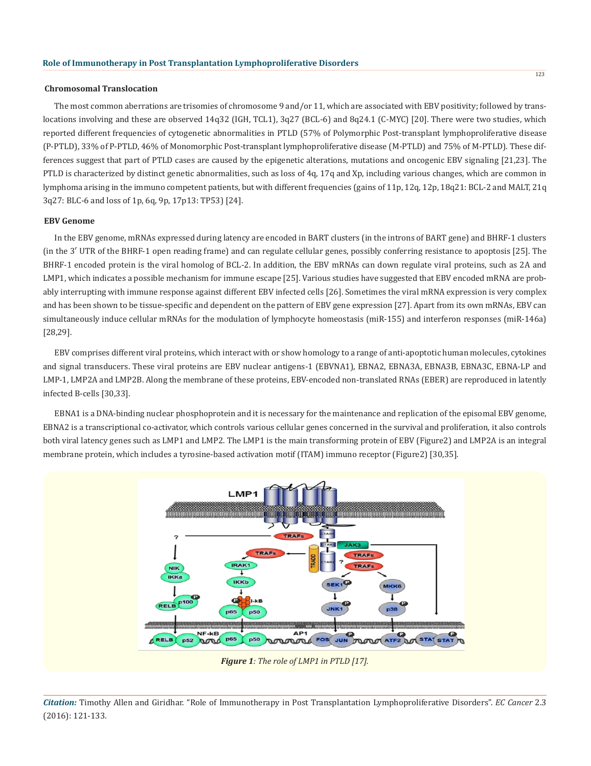#### **Chromosomal Translocation**

The most common aberrations are trisomies of chromosome 9 and/or 11, which are associated with EBV positivity; followed by translocations involving and these are observed 14q32 (IGH, TCL1), 3q27 (BCL-6) and 8q24.1 (C-MYC) [20]. There were two studies, which reported different frequencies of cytogenetic abnormalities in PTLD (57% of Polymorphic Post-transplant lymphoproliferative disease (P-PTLD), 33% of P-PTLD, 46% of Monomorphic Post-transplant lymphoproliferative disease (M-PTLD) and 75% of M-PTLD). These differences suggest that part of PTLD cases are caused by the epigenetic alterations, mutations and oncogenic EBV signaling [21,23]. The PTLD is characterized by distinct genetic abnormalities, such as loss of 4q, 17q and Xp, including various changes, which are common in lymphoma arising in the immuno competent patients, but with different frequencies (gains of 11p, 12q, 12p, 18q21: BCL-2 and MALT, 21q 3q27: BLC-6 and loss of 1p, 6q, 9p, 17p13: TP53) [24].

#### **EBV Genome**

In the EBV genome, mRNAs expressed during latency are encoded in BART clusters (in the introns of BART gene) and BHRF-1 clusters (in the 3′ UTR of the BHRF-1 open reading frame) and can regulate cellular genes, possibly conferring resistance to apoptosis [25]. The BHRF-1 encoded protein is the viral homolog of BCL-2. In addition, the EBV mRNAs can down regulate viral proteins, such as 2A and LMP1, which indicates a possible mechanism for immune escape [25]. Various studies have suggested that EBV encoded mRNA are probably interrupting with immune response against different EBV infected cells [26]. Sometimes the viral mRNA expression is very complex and has been shown to be tissue-specific and dependent on the pattern of EBV gene expression [27]. Apart from its own mRNAs, EBV can simultaneously induce cellular mRNAs for the modulation of lymphocyte homeostasis (miR-155) and interferon responses (miR-146a) [28,29].

EBV comprises different viral proteins, which interact with or show homology to a range of anti-apoptotic human molecules, cytokines and signal transducers. These viral proteins are EBV nuclear antigens-1 (EBVNA1), EBNA2, EBNA3A, EBNA3B, EBNA3C, EBNA-LP and LMP-1, LMP2A and LMP2B. Along the membrane of these proteins, EBV-encoded non-translated RNAs (EBER) are reproduced in latently infected B-cells [30,33].

EBNA1 is a DNA-binding nuclear phosphoprotein and it is necessary for the maintenance and replication of the episomal EBV genome, EBNA2 is a transcriptional co-activator, which controls various cellular genes concerned in the survival and proliferation, it also controls both viral latency genes such as LMP1 and LMP2. The LMP1 is the main transforming protein of EBV (Figure2) and LMP2A is an integral membrane protein, which includes a tyrosine-based activation motif (ITAM) immuno receptor (Figure2) [30,35].

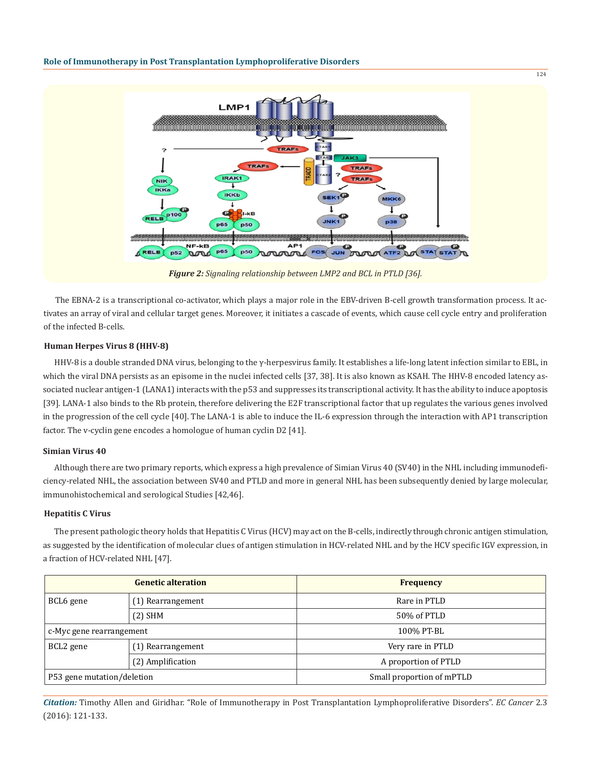

*Figure 2: Signaling relationship between LMP2 and BCL in PTLD [36].*

The EBNA-2 is a transcriptional co-activator, which plays a major role in the EBV-driven B-cell growth transformation process. It activates an array of viral and cellular target genes. Moreover, it initiates a cascade of events, which cause cell cycle entry and proliferation of the infected B-cells.

#### **Human Herpes Virus 8 (HHV-8)**

HHV-8 is a double stranded DNA virus, belonging to the γ-herpesvirus family. It establishes a life-long latent infection similar to EBL, in which the viral DNA persists as an episome in the nuclei infected cells [37, 38]. It is also known as KSAH. The HHV-8 encoded latency associated nuclear antigen-1 (LANA1) interacts with the p53 and suppresses its transcriptional activity. It has the ability to induce apoptosis [39]. LANA-1 also binds to the Rb protein, therefore delivering the E2F transcriptional factor that up regulates the various genes involved in the progression of the cell cycle [40]. The LANA-1 is able to induce the IL-6 expression through the interaction with AP1 transcription factor. The v-cyclin gene encodes a homologue of human cyclin D2 [41].

#### **Simian Virus 40**

Although there are two primary reports, which express a high prevalence of Simian Virus 40 (SV40) in the NHL including immunodeficiency-related NHL, the association between SV40 and PTLD and more in general NHL has been subsequently denied by large molecular, immunohistochemical and serological Studies [42,46].

#### **Hepatitis C Virus**

The present pathologic theory holds that Hepatitis C Virus (HCV) may act on the B-cells, indirectly through chronic antigen stimulation, as suggested by the identification of molecular clues of antigen stimulation in HCV-related NHL and by the HCV specific IGV expression, in a fraction of HCV-related NHL [47].

| <b>Genetic alteration</b>  |                   | <b>Frequency</b>          |
|----------------------------|-------------------|---------------------------|
| BCL6 gene                  | (1) Rearrangement | Rare in PTLD              |
|                            | $(2)$ SHM         | 50% of PTLD               |
| c-Myc gene rearrangement   |                   | 100% PT-BL                |
| BCL <sub>2</sub> gene      | (1) Rearrangement | Very rare in PTLD         |
|                            | (2) Amplification | A proportion of PTLD      |
| P53 gene mutation/deletion |                   | Small proportion of mPTLD |

*Citation:* Timothy Allen and Giridhar. "Role of Immunotherapy in Post Transplantation Lymphoproliferative Disorders". *EC Cancer* 2.3 (2016): 121-133.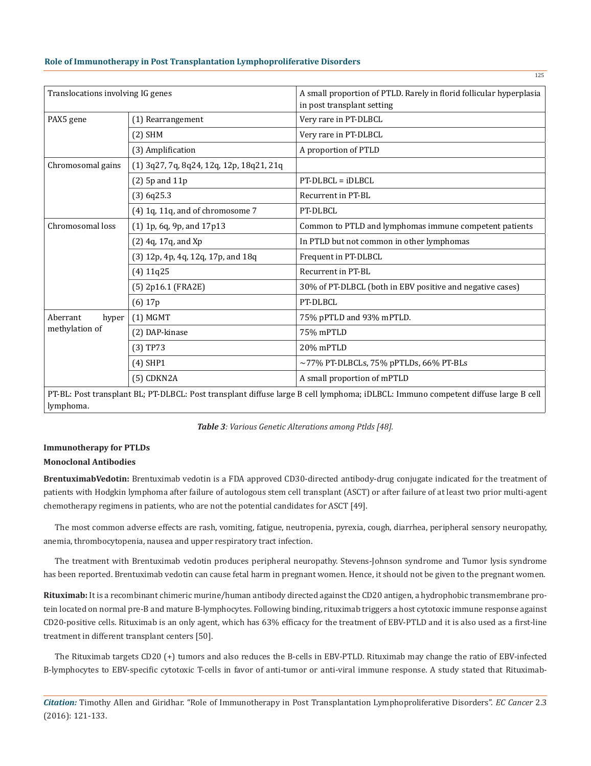| Translocations involving IG genes |                                          | A small proportion of PTLD. Rarely in florid follicular hyperplasia<br>in post transplant setting                                       |
|-----------------------------------|------------------------------------------|-----------------------------------------------------------------------------------------------------------------------------------------|
| PAX5 gene                         | (1) Rearrangement                        | Very rare in PT-DLBCL                                                                                                                   |
|                                   | $(2)$ SHM                                | Very rare in PT-DLBCL                                                                                                                   |
|                                   | (3) Amplification                        | A proportion of PTLD                                                                                                                    |
| Chromosomal gains                 | (1) 3q27, 7q, 8q24, 12q, 12p, 18q21, 21q |                                                                                                                                         |
|                                   | $(2)$ 5p and 11p                         | PT-DLBCL = iDLBCL                                                                                                                       |
|                                   | $(3)$ 6q25.3                             | Recurrent in PT-BL                                                                                                                      |
|                                   | (4) 1q, 11q, and of chromosome 7         | PT-DLBCL                                                                                                                                |
| Chromosomal loss                  | (1) 1p, 6q, 9p, and 17p13                | Common to PTLD and lymphomas immune competent patients                                                                                  |
|                                   | (2) 4q, 17q, and Xp                      | In PTLD but not common in other lymphomas                                                                                               |
|                                   | (3) 12p, 4p, 4q, 12q, 17p, and 18q       | Frequent in PT-DLBCL                                                                                                                    |
|                                   | $(4)$ 11q25                              | Recurrent in PT-BL                                                                                                                      |
|                                   | (5) 2p16.1 (FRA2E)                       | 30% of PT-DLBCL (both in EBV positive and negative cases)                                                                               |
|                                   | $(6)$ 17p                                | PT-DLBCL                                                                                                                                |
| Aberrant<br>hyper                 | $(1)$ MGMT                               | 75% pPTLD and 93% mPTLD.                                                                                                                |
| methylation of                    | (2) DAP-kinase                           | 75% mPTLD                                                                                                                               |
|                                   | (3) TP73                                 | 20% mPTLD                                                                                                                               |
|                                   | $(4)$ SHP1                               | $\sim$ 77% PT-DLBCLs, 75% pPTLDs, 66% PT-BLs                                                                                            |
|                                   | (5) CDKN2A                               | A small proportion of mPTLD                                                                                                             |
|                                   |                                          | PT-RI · Post transplant RI · PT-DI RCI · Post transplant diffuse large R cell lymphoma: iDI RCI · Immuno competent diffuse large R cell |

splant diffuse large B cell lymphoma; iDL lymphoma.

*Table 3: Various Genetic Alterations among Ptlds [48].*

# **Immunotherapy for PTLDs Monoclonal Antibodies**

**BrentuximabVedotin:** Brentuximab vedotin is a FDA approved CD30-directed antibody-drug conjugate indicated for the treatment of patients with Hodgkin lymphoma after failure of autologous stem cell transplant (ASCT) or after failure of at least two prior multi-agent chemotherapy regimens in patients, who are not the potential candidates for ASCT [49].

The most common adverse effects are rash, vomiting, fatigue, neutropenia, pyrexia, cough, diarrhea, peripheral sensory neuropathy, anemia, thrombocytopenia, nausea and upper respiratory tract infection.

The treatment with Brentuximab vedotin produces peripheral neuropathy. Stevens-Johnson syndrome and Tumor lysis syndrome has been reported. Brentuximab vedotin can cause fetal harm in pregnant women. Hence, it should not be given to the pregnant women.

**Rituximab:** It is a recombinant chimeric murine/human antibody directed against the CD20 antigen, a hydrophobic transmembrane protein located on normal pre-B and mature B-lymphocytes. Following binding, rituximab triggers a host cytotoxic immune response against CD20-positive cells. Rituximab is an only agent, which has 63% efficacy for the treatment of EBV-PTLD and it is also used as a first-line treatment in different transplant centers [50].

The Rituximab targets CD20 (+) tumors and also reduces the B-cells in EBV-PTLD. Rituximab may change the ratio of EBV-infected B-lymphocytes to EBV-specific cytotoxic T-cells in favor of anti-tumor or anti-viral immune response. A study stated that Rituximab-

*Citation:* Timothy Allen and Giridhar. "Role of Immunotherapy in Post Transplantation Lymphoproliferative Disorders". *EC Cancer* 2.3 (2016): 121-133.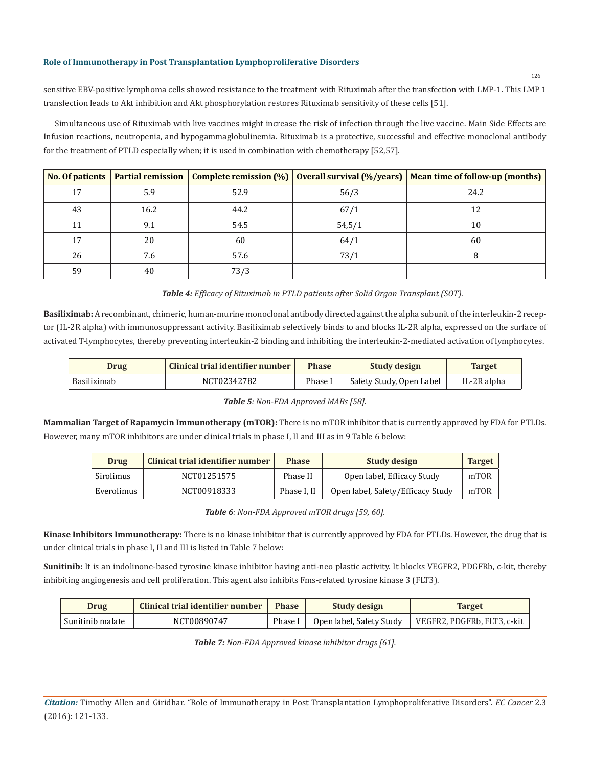sensitive EBV-positive lymphoma cells showed resistance to the treatment with Rituximab after the transfection with LMP-1. This LMP 1 transfection leads to Akt inhibition and Akt phosphorylation restores Rituximab sensitivity of these cells [51].

Simultaneous use of Rituximab with live vaccines might increase the risk of infection through the live vaccine. Main Side Effects are Infusion reactions, neutropenia, and hypogammaglobulinemia. Rituximab is a protective, successful and effective monoclonal antibody for the treatment of PTLD especially when; it is used in combination with chemotherapy [52,57].

|    | No. Of patients   Partial remission |      |        | Complete remission $(\%)$ Overall survival $(\%$ /years)   Mean time of follow-up (months) |
|----|-------------------------------------|------|--------|--------------------------------------------------------------------------------------------|
| 17 | 5.9                                 | 52.9 | 56/3   | 24.2                                                                                       |
| 43 | 16.2                                | 44.2 | 67/1   | 12                                                                                         |
| 11 | 9.1                                 | 54.5 | 54,5/1 | 10                                                                                         |
| 17 | 20                                  | 60   | 64/1   | 60                                                                                         |
| 26 | 7.6                                 | 57.6 | 73/1   |                                                                                            |
| 59 | 40                                  | 73/3 |        |                                                                                            |

*Table 4: Efficacy of Rituximab in PTLD patients after Solid Organ Transplant (SOT).*

**Basiliximab:** A recombinant, chimeric, human-murine monoclonal antibody directed against the alpha subunit of the interleukin-2 receptor (IL-2R alpha) with immunosuppressant activity. Basiliximab selectively binds to and blocks IL-2R alpha, expressed on the surface of activated T-lymphocytes, thereby preventing interleukin-2 binding and inhibiting the interleukin-2-mediated activation of lymphocytes.

| <b>Drug</b> | Clinical trial identifier number | <b>Phase</b> | Study design             | <b>Target</b> |
|-------------|----------------------------------|--------------|--------------------------|---------------|
| Basiliximab | NCT02342782                      | Phase I      | Safety Study, Open Label | IL-2R alpha   |

*Table 5: Non-FDA Approved MABs [58].* 

**Mammalian Target of Rapamycin Immunotherapy (mTOR):** There is no mTOR inhibitor that is currently approved by FDA for PTLDs. However, many mTOR inhibitors are under clinical trials in phase I, II and III as in 9 Table 6 below:

| Drug       | <b>Clinical trial identifier number</b> | <b>Phase</b> | <b>Study design</b>               | <b>Target</b> |
|------------|-----------------------------------------|--------------|-----------------------------------|---------------|
| Sirolimus  | NCT01251575                             | Phase II     | Open label, Efficacy Study        | mTOR          |
| Everolimus | NCT00918333                             | Phase I. II  | Open label, Safety/Efficacy Study | mTOR          |

*Table 6: Non-FDA Approved mTOR drugs [59, 60].*

**Kinase Inhibitors Immunotherapy:** There is no kinase inhibitor that is currently approved by FDA for PTLDs. However, the drug that is under clinical trials in phase I, II and III is listed in Table 7 below:

Sunitinib: It is an indolinone-based tyrosine kinase inhibitor having anti-neo plastic activity. It blocks VEGFR2, PDGFRb, c-kit, thereby inhibiting angiogenesis and cell proliferation. This agent also inhibits Fms-related tyrosine kinase 3 (FLT3).

| Drug             | Clinical trial identifier number | <b>Phase</b> | Study design             | <b>Target</b>               |
|------------------|----------------------------------|--------------|--------------------------|-----------------------------|
| Sunitinib malate | NCT00890747                      | Phase 1      | Open label, Safety Study | VEGFR2, PDGFRb, FLT3, c-kit |

*Table 7: Non-FDA Approved kinase inhibitor drugs [61].*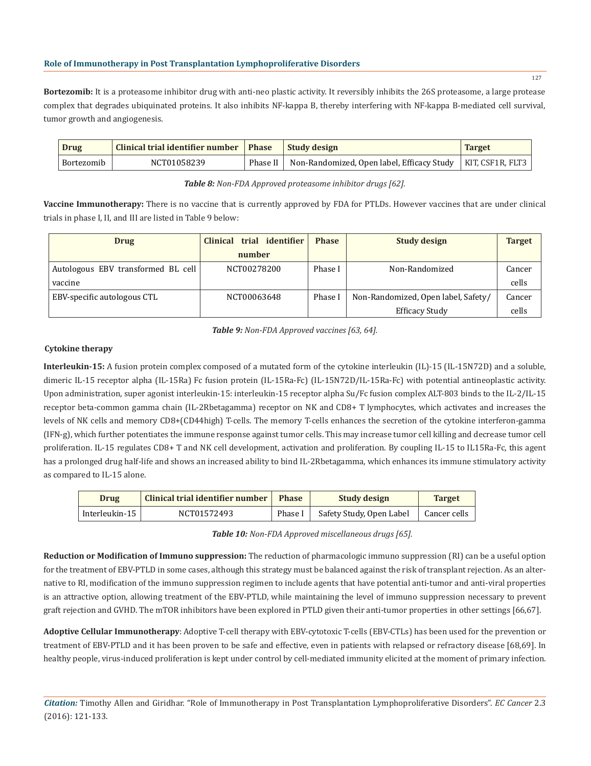**Bortezomib:** It is a proteasome inhibitor drug with anti-neo plastic activity. It reversibly inhibits the 26S proteasome, a large protease complex that degrades ubiquinated proteins. It also inhibits NF-kappa B, thereby interfering with NF-kappa B-mediated cell survival, tumor growth and angiogenesis.

| Drug       | Clinical trial identifier number   Phase |          | Study design                                                  | <b>Target</b> |
|------------|------------------------------------------|----------|---------------------------------------------------------------|---------------|
| Bortezomib | NCT01058239                              | Phase II | Non-Randomized, Open label, Efficacy Study   KIT, CSF1R, FLT3 |               |

*Table 8: Non-FDA Approved proteasome inhibitor drugs [62].*

Vaccine Immunotherapy: There is no vaccine that is currently approved by FDA for PTLDs. However vaccines that are under clinical trials in phase I, II, and III are listed in Table 9 below:

| <b>Drug</b>                        | Clinical trial identifier | <b>Phase</b> | <b>Study design</b>                 | <b>Target</b> |
|------------------------------------|---------------------------|--------------|-------------------------------------|---------------|
|                                    | number                    |              |                                     |               |
| Autologous EBV transformed BL cell | NCT00278200               | Phase I      | Non-Randomized                      | Cancer        |
| vaccine                            |                           |              |                                     | cells         |
| EBV-specific autologous CTL        | NCT00063648               | Phase I      | Non-Randomized, Open label, Safety/ | Cancer        |
|                                    |                           |              | <b>Efficacy Study</b>               | cells         |

*Table 9: Non-FDA Approved vaccines [63, 64].*

# **Cytokine therapy**

**Interleukin-15:** A fusion protein complex composed of a mutated form of the cytokine interleukin (IL)-15 (IL-15N72D) and a soluble, dimeric IL-15 receptor alpha (IL-15Ra) Fc fusion protein (IL-15Ra-Fc) (IL-15N72D/IL-15Ra-Fc) with potential antineoplastic activity. Upon administration, super agonist interleukin-15: interleukin-15 receptor alpha Su/Fc fusion complex ALT-803 binds to the IL-2/IL-15 receptor beta-common gamma chain (IL-2Rbetagamma) receptor on NK and CD8+ T lymphocytes, which activates and increases the levels of NK cells and memory CD8+(CD44high) T-cells. The memory T-cells enhances the secretion of the cytokine interferon-gamma (IFN-g), which further potentiates the immune response against tumor cells. This may increase tumor cell killing and decrease tumor cell proliferation. IL-15 regulates CD8+ T and NK cell development, activation and proliferation. By coupling IL-15 to IL15Ra-Fc, this agent has a prolonged drug half-life and shows an increased ability to bind IL-2Rbetagamma, which enhances its immune stimulatory activity as compared to IL-15 alone.

| Drug           | Clinical trial identifier number | <b>Phase</b> | <b>Study design</b>      | <b>Target</b> |
|----------------|----------------------------------|--------------|--------------------------|---------------|
| Interleukin-15 | NCT01572493                      | Phase I      | Safety Study, Open Label | Cancer cells  |

*Table 10: Non-FDA Approved miscellaneous drugs [65].*

**Reduction or Modification of Immuno suppression:** The reduction of pharmacologic immuno suppression (RI) can be a useful option for the treatment of EBV-PTLD in some cases, although this strategy must be balanced against the risk of transplant rejection. As an alternative to RI, modification of the immuno suppression regimen to include agents that have potential anti-tumor and anti-viral properties is an attractive option, allowing treatment of the EBV-PTLD, while maintaining the level of immuno suppression necessary to prevent graft rejection and GVHD. The mTOR inhibitors have been explored in PTLD given their anti-tumor properties in other settings [66,67].

**Adoptive Cellular Immunotherapy**: Adoptive T-cell therapy with EBV-cytotoxic T-cells (EBV-CTLs) has been used for the prevention or treatment of EBV-PTLD and it has been proven to be safe and effective, even in patients with relapsed or refractory disease [68,69]. In healthy people, virus-induced proliferation is kept under control by cell-mediated immunity elicited at the moment of primary infection.

*Citation:* Timothy Allen and Giridhar. "Role of Immunotherapy in Post Transplantation Lymphoproliferative Disorders". *EC Cancer* 2.3 (2016): 121-133.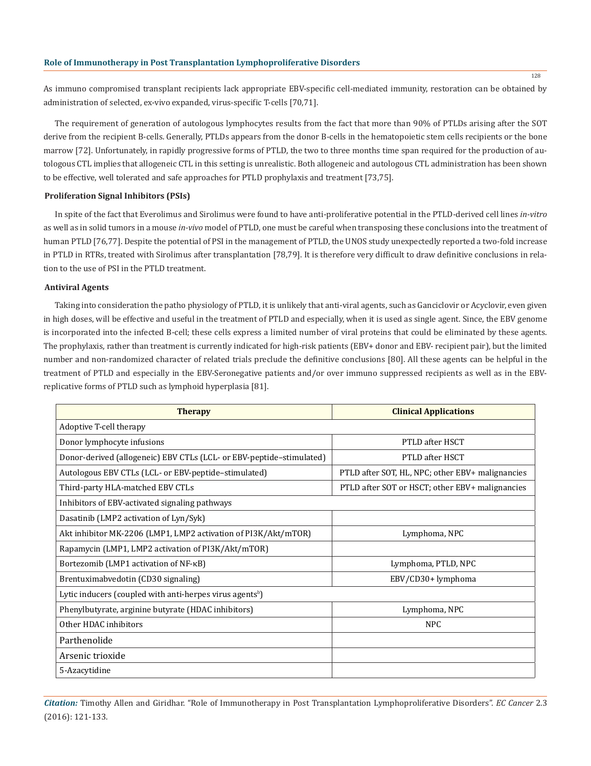As immuno compromised transplant recipients lack appropriate EBV-specific cell-mediated immunity, restoration can be obtained by administration of selected, ex-vivo expanded, virus-specific T-cells [70,71].

The requirement of generation of autologous lymphocytes results from the fact that more than 90% of PTLDs arising after the SOT derive from the recipient B-cells. Generally, PTLDs appears from the donor B-cells in the hematopoietic stem cells recipients or the bone marrow [72]. Unfortunately, in rapidly progressive forms of PTLD, the two to three months time span required for the production of autologous CTL implies that allogeneic CTL in this setting is unrealistic. Both allogeneic and autologous CTL administration has been shown to be effective, well tolerated and safe approaches for PTLD prophylaxis and treatment [73,75].

#### **Proliferation Signal Inhibitors (PSIs)**

In spite of the fact that Everolimus and Sirolimus were found to have anti-proliferative potential in the PTLD-derived cell lines *in-vitro* as well as in solid tumors in a mouse *in-vivo* model of PTLD, one must be careful when transposing these conclusions into the treatment of human PTLD [76,77]. Despite the potential of PSI in the management of PTLD, the UNOS study unexpectedly reported a two-fold increase in PTLD in RTRs, treated with Sirolimus after transplantation [78,79]. It is therefore very difficult to draw definitive conclusions in relation to the use of PSI in the PTLD treatment.

#### **Antiviral Agents**

Taking into consideration the patho physiology of PTLD, it is unlikely that anti-viral agents, such as Ganciclovir or Acyclovir, even given in high doses, will be effective and useful in the treatment of PTLD and especially, when it is used as single agent. Since, the EBV genome is incorporated into the infected B-cell; these cells express a limited number of viral proteins that could be eliminated by these agents. The prophylaxis, rather than treatment is currently indicated for high-risk patients (EBV+ donor and EBV- recipient pair), but the limited number and non-randomized character of related trials preclude the definitive conclusions [80]. All these agents can be helpful in the treatment of PTLD and especially in the EBV-Seronegative patients and/or over immuno suppressed recipients as well as in the EBVreplicative forms of PTLD such as lymphoid hyperplasia [81].

| <b>Therapy</b>                                                       | <b>Clinical Applications</b>                     |  |  |  |  |
|----------------------------------------------------------------------|--------------------------------------------------|--|--|--|--|
| Adoptive T-cell therapy                                              |                                                  |  |  |  |  |
| Donor lymphocyte infusions                                           | PTLD after HSCT                                  |  |  |  |  |
| Donor-derived (allogeneic) EBV CTLs (LCL- or EBV-peptide-stimulated) | PTLD after HSCT                                  |  |  |  |  |
| Autologous EBV CTLs (LCL- or EBV-peptide-stimulated)                 | PTLD after SOT, HL, NPC; other EBV+ malignancies |  |  |  |  |
| Third-party HLA-matched EBV CTLs                                     | PTLD after SOT or HSCT; other EBV+ malignancies  |  |  |  |  |
| Inhibitors of EBV-activated signaling pathways                       |                                                  |  |  |  |  |
| Dasatinib (LMP2 activation of Lyn/Syk)                               |                                                  |  |  |  |  |
| Akt inhibitor MK-2206 (LMP1, LMP2 activation of PI3K/Akt/mTOR)       | Lymphoma, NPC                                    |  |  |  |  |
| Rapamycin (LMP1, LMP2 activation of PI3K/Akt/mTOR)                   |                                                  |  |  |  |  |
| Bortezomib (LMP1 activation of NF-κB)                                | Lymphoma, PTLD, NPC                              |  |  |  |  |
| Brentuximabvedotin (CD30 signaling)                                  | EBV/CD30+ lymphoma                               |  |  |  |  |
| Lytic inducers (coupled with anti-herpes virus agents <sup>b</sup> ) |                                                  |  |  |  |  |
| Phenylbutyrate, arginine butyrate (HDAC inhibitors)                  | Lymphoma, NPC                                    |  |  |  |  |
| Other HDAC inhibitors                                                | <b>NPC</b>                                       |  |  |  |  |
| Parthenolide                                                         |                                                  |  |  |  |  |
| Arsenic trioxide                                                     |                                                  |  |  |  |  |
| 5-Azacytidine                                                        |                                                  |  |  |  |  |

*Citation:* Timothy Allen and Giridhar. "Role of Immunotherapy in Post Transplantation Lymphoproliferative Disorders". *EC Cancer* 2.3 (2016): 121-133.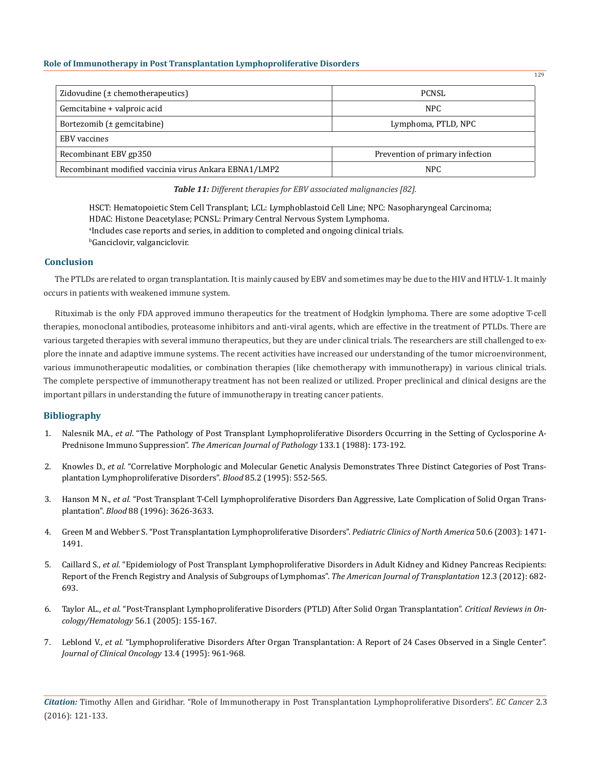| Zidovudine $(\pm$ chemotherapeutics)                  | <b>PCNSL</b>                    |
|-------------------------------------------------------|---------------------------------|
| Gemcitabine + valproic acid                           | NPC                             |
| Bortezomib $(\pm$ gemcitabine)                        | Lymphoma, PTLD, NPC             |
| EBV vaccines                                          |                                 |
| Recombinant EBV gp350                                 | Prevention of primary infection |
| Recombinant modified vaccinia virus Ankara EBNA1/LMP2 | <b>NPC</b>                      |

*Table 11: Different therapies for EBV associated malignancies [82].*

HSCT: Hematopoietic Stem Cell Transplant; LCL: Lymphoblastoid Cell Line; NPC: Nasopharyngeal Carcinoma; HDAC: Histone Deacetylase; PCNSL: Primary Central Nervous System Lymphoma. a Includes case reports and series, in addition to completed and ongoing clinical trials. b Ganciclovir, valganciclovir.

## **Conclusion**

The PTLDs are related to organ transplantation. It is mainly caused by EBV and sometimes may be due to the HIV and HTLV-1. It mainly occurs in patients with weakened immune system.

Rituximab is the only FDA approved immuno therapeutics for the treatment of Hodgkin lymphoma. There are some adoptive T-cell therapies, monoclonal antibodies, proteasome inhibitors and anti-viral agents, which are effective in the treatment of PTLDs. There are various targeted therapies with several immuno therapeutics, but they are under clinical trials. The researchers are still challenged to explore the innate and adaptive immune systems. The recent activities have increased our understanding of the tumor microenvironment, various immunotherapeutic modalities, or combination therapies (like chemotherapy with immunotherapy) in various clinical trials. The complete perspective of immunotherapy treatment has not been realized or utilized. Proper preclinical and clinical designs are the important pillars in understanding the future of immunotherapy in treating cancer patients.

# **Bibliography**

- 1. Nalesnik MA., *et al*. "The Pathology of Post Transplant Lymphoproliferative Disorders Occurring in the Setting of Cyclosporine A-Prednisone Immuno Suppression". *The American Journal of Pathology* 133.1 (1988): 173-192.
- 2. Knowles D., *et al.* "Correlative Morphologic and Molecular Genetic Analysis Demonstrates Three Distinct Categories of Post Transplantation Lymphoproliferative Disorders". *Blood* 85.2 (1995): 552-565.
- 3. Hanson M N., *et al.* "Post Transplant T-Cell Lymphoproliferative Disorders Ðan Aggressive, Late Complication of Solid Organ Transplantation". *Blood* 88 (1996): 3626-3633.
- 4. Green M and Webber S. "Post Transplantation Lymphoproliferative Disorders". *Pediatric Clinics of North America* 50.6 (2003): 1471- 1491.
- 5. Caillard S., *et al.* "Epidemiology of Post Transplant Lymphoproliferative Disorders in Adult Kidney and Kidney Pancreas Recipients: Report of the French Registry and Analysis of Subgroups of Lymphomas". *The American Journal of Transplantation* 12.3 (2012): 682- 693.
- 6. Taylor AL., *et al.* "Post-Transplant Lymphoproliferative Disorders (PTLD) After Solid Organ Transplantation". *Critical Reviews in Oncology/Hematology* 56.1 (2005): 155-167.
- 7. Leblond V., *et al.* "Lymphoproliferative Disorders After Organ Transplantation: A Report of 24 Cases Observed in a Single Center". *Journal of Clinical Oncology* 13.4 (1995): 961-968.

*Citation:* Timothy Allen and Giridhar. "Role of Immunotherapy in Post Transplantation Lymphoproliferative Disorders". *EC Cancer* 2.3 (2016): 121-133.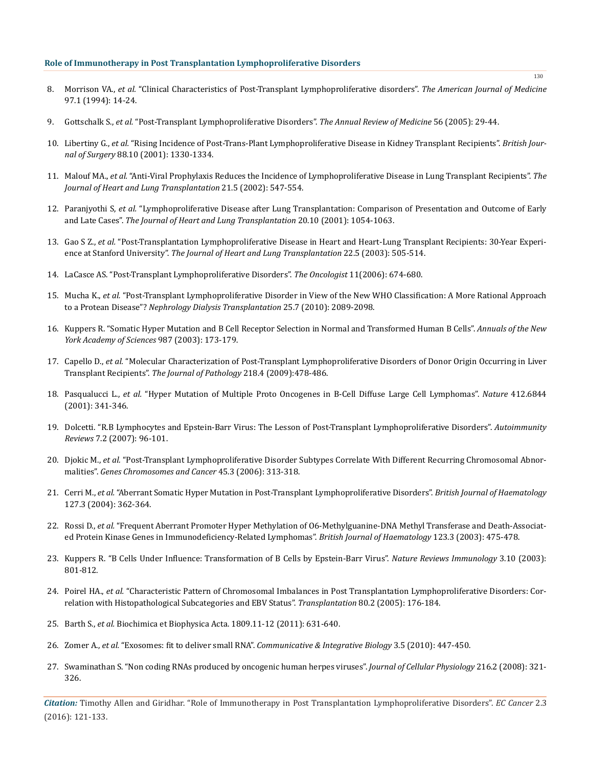- 8. Morrison VA., *et al.* "Clinical Characteristics of Post-Transplant Lymphoproliferative disorders". *The American Journal of Medicine* 97.1 (1994): 14-24.
- 9. Gottschalk S., *et al.* "Post-Transplant Lymphoproliferative Disorders". *The Annual Review of Medicine* 56 (2005): 29-44.
- 10. Libertiny G., *et al.* "Rising Incidence of Post-Trans-Plant Lymphoproliferative Disease in Kidney Transplant Recipients". *British Journal of Surgery* 88.10 (2001): 1330-1334.
- 11. Malouf MA., *et al.* "Anti-Viral Prophylaxis Reduces the Incidence of Lymphoproliferative Disease in Lung Transplant Recipients". *The Journal of Heart and Lung Transplantation* 21.5 (2002): 547-554.
- 12. Paranjyothi S, *et al.* "Lymphoproliferative Disease after Lung Transplantation: Comparison of Presentation and Outcome of Early and Late Cases". *The Journal of Heart and Lung Transplantation* 20.10 (2001): 1054-1063.
- 13. Gao S Z., *et al.* "Post-Transplantation Lymphoproliferative Disease in Heart and Heart-Lung Transplant Recipients: 30-Year Experience at Stanford University". *The Journal of Heart and Lung Transplantation* 22.5 (2003): 505-514.
- 14. LaCasce AS. "Post-Transplant Lymphoproliferative Disorders". *The Oncologist* 11(2006): 674-680.
- 15. Mucha K., *et al.* "Post-Transplant Lymphoproliferative Disorder in View of the New WHO Classification: A More Rational Approach to a Protean Disease"? *Nephrology Dialysis Transplantation* 25.7 (2010): 2089-2098.
- 16. Kuppers R. "Somatic Hyper Mutation and B Cell Receptor Selection in Normal and Transformed Human B Cells". *Annuals of the New York Academy of Sciences* 987 (2003): 173-179.
- 17. Capello D., *et al.* "Molecular Characterization of Post-Transplant Lymphoproliferative Disorders of Donor Origin Occurring in Liver Transplant Recipients". *The Journal of Pathology* 218.4 (2009):478-486.
- 18. Pasqualucci L., *et al.* "Hyper Mutation of Multiple Proto Oncogenes in B-Cell Diffuse Large Cell Lymphomas". *Nature* 412.6844 (2001): 341-346.
- 19. Dolcetti. "R.B Lymphocytes and Epstein-Barr Virus: The Lesson of Post-Transplant Lymphoproliferative Disorders". *Autoimmunity Reviews* 7.2 (2007): 96-101.
- 20. Djokic M., *et al.* "Post-Transplant Lymphoproliferative Disorder Subtypes Correlate With Different Recurring Chromosomal Abnormalities". *Genes Chromosomes and Cancer* 45.3 (2006): 313-318.
- 21. Cerri M., *et al.* "Aberrant Somatic Hyper Mutation in Post-Transplant Lymphoproliferative Disorders". *British Journal of Haematology* 127.3 (2004): 362-364.
- 22. Rossi D., *et al.* "Frequent Aberrant Promoter Hyper Methylation of O6-Methylguanine-DNA Methyl Transferase and Death-Associated Protein Kinase Genes in Immunodeficiency-Related Lymphomas". *British Journal of Haematology* 123.3 (2003): 475-478.
- 23. Kuppers R. "B Cells Under Influence: Transformation of B Cells by Epstein-Barr Virus". *Nature Reviews Immunology* 3.10 (2003): 801-812.
- 24. Poirel HA., *et al.* "Characteristic Pattern of Chromosomal Imbalances in Post Transplantation Lymphoproliferative Disorders: Correlation with Histopathological Subcategories and EBV Status". *Transplantation* 80.2 (2005): 176-184.
- 25. Barth S., *et al.* Biochimica et Biophysica Acta. 1809.11-12 (2011): 631-640.
- 26. Zomer A., *et al.* "Exosomes: fit to deliver small RNA". *Communicative & Integrative Biology* 3.5 (2010): 447-450.
- 27. Swaminathan S. "Non coding RNAs produced by oncogenic human herpes viruses". *Journal of Cellular Physiology* 216.2 (2008): 321- 326.

*Citation:* Timothy Allen and Giridhar. "Role of Immunotherapy in Post Transplantation Lymphoproliferative Disorders". *EC Cancer* 2.3 (2016): 121-133.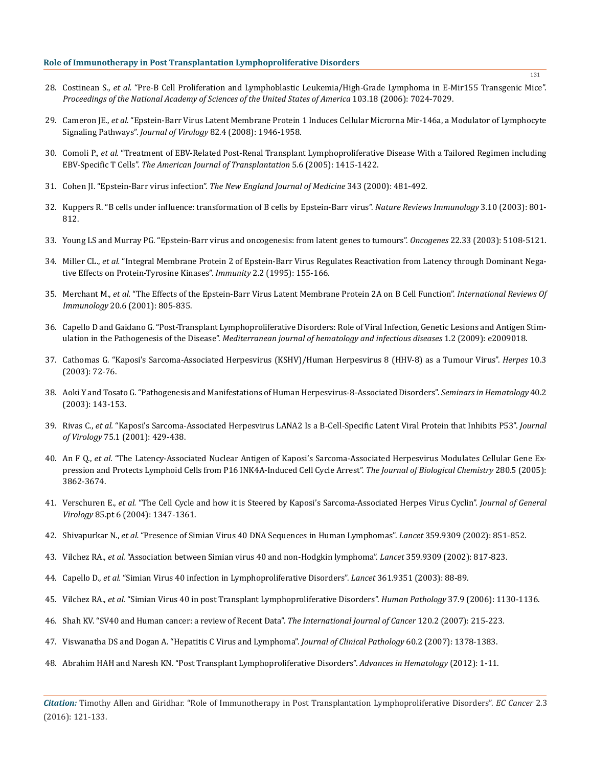- 28. Costinean S., *et al.* "Pre-B Cell Proliferation and Lymphoblastic Leukemia/High-Grade Lymphoma in E-Mir155 Transgenic Mice". *Proceedings of the National Academy of Sciences of the United States of America* 103.18 (2006): 7024-7029.
- 29. Cameron JE., *et al.* "Epstein-Barr Virus Latent Membrane Protein 1 Induces Cellular Microrna Mir-146a, a Modulator of Lymphocyte Signaling Pathways". *Journal of Virology* 82.4 (2008): 1946-1958.
- 30. Comoli P., *et al.* "Treatment of EBV-Related Post-Renal Transplant Lymphoproliferative Disease With a Tailored Regimen including EBV-Specific T Cells". *The American Journal of Transplantation* 5.6 (2005): 1415-1422.
- 31. Cohen JI. "Epstein-Barr virus infection". *The New England Journal of Medicine* 343 (2000): 481-492.
- 32. Kuppers R. "B cells under influence: transformation of B cells by Epstein-Barr virus". *Nature Reviews Immunology* 3.10 (2003): 801- 812.
- 33. Young LS and Murray PG. "Epstein-Barr virus and oncogenesis: from latent genes to tumours". *Oncogenes* 22.33 (2003): 5108-5121.
- 34. Miller CL., *et al.* "Integral Membrane Protein 2 of Epstein-Barr Virus Regulates Reactivation from Latency through Dominant Negative Effects on Protein-Tyrosine Kinases". *Immunity* 2.2 (1995): 155-166.
- 35. Merchant M., *et al.* "The Effects of the Epstein-Barr Virus Latent Membrane Protein 2A on B Cell Function". *International Reviews Of Immunology* 20.6 (2001): 805-835.
- 36. Capello D and Gaidano G. "Post-Transplant Lymphoproliferative Disorders: Role of Viral Infection, Genetic Lesions and Antigen Stimulation in the Pathogenesis of the Disease". *Mediterranean journal of hematology and infectious diseases* 1.2 (2009): e2009018.
- 37. Cathomas G. "Kaposi's Sarcoma-Associated Herpesvirus (KSHV)/Human Herpesvirus 8 (HHV-8) as a Tumour Virus". *Herpes* 10.3 (2003): 72-76.
- 38. Aoki Y and Tosato G. "Pathogenesis and Manifestations of Human Herpesvirus-8-Associated Disorders". *Seminars in Hematology* 40.2 (2003): 143-153.
- 39. Rivas C., *et al.* "Kaposi's Sarcoma-Associated Herpesvirus LANA2 Is a B-Cell-Specific Latent Viral Protein that Inhibits P53". *Journal of Virology* 75.1 (2001): 429-438.
- 40. An F Q., *et al.* "The Latency-Associated Nuclear Antigen of Kaposi's Sarcoma-Associated Herpesvirus Modulates Cellular Gene Expression and Protects Lymphoid Cells from P16 INK4A-Induced Cell Cycle Arrest". *The Journal of Biological Chemistry* 280.5 (2005): 3862-3674.
- 41. Verschuren E., *et al.* "The Cell Cycle and how it is Steered by Kaposi's Sarcoma-Associated Herpes Virus Cyclin". *Journal of General Virology* 85.pt 6 (2004): 1347-1361.
- 42. Shivapurkar N., *et al.* "Presence of Simian Virus 40 DNA Sequences in Human Lymphomas". *Lancet* 359.9309 (2002): 851-852.
- 43. Vilchez RA., *et al.* "Association between Simian virus 40 and non-Hodgkin lymphoma". *Lancet* 359.9309 (2002): 817-823.
- 44. Capello D., *et al.* "Simian Virus 40 infection in Lymphoproliferative Disorders". *Lancet* 361.9351 (2003): 88-89.
- 45. Vilchez RA., *et al.* "Simian Virus 40 in post Transplant Lymphoproliferative Disorders". *Human Pathology* 37.9 (2006): 1130-1136.
- 46. Shah KV. "SV40 and Human cancer: a review of Recent Data". *The International Journal of Cancer* 120.2 (2007): 215-223.
- 47. Viswanatha DS and Dogan A. "Hepatitis C Virus and Lymphoma". *Journal of Clinical Pathology* 60.2 (2007): 1378-1383.
- 48. Abrahim HAH and Naresh KN. "Post Transplant Lymphoproliferative Disorders". *Advances in Hematology* (2012): 1-11.

*Citation:* Timothy Allen and Giridhar. "Role of Immunotherapy in Post Transplantation Lymphoproliferative Disorders". *EC Cancer* 2.3 (2016): 121-133.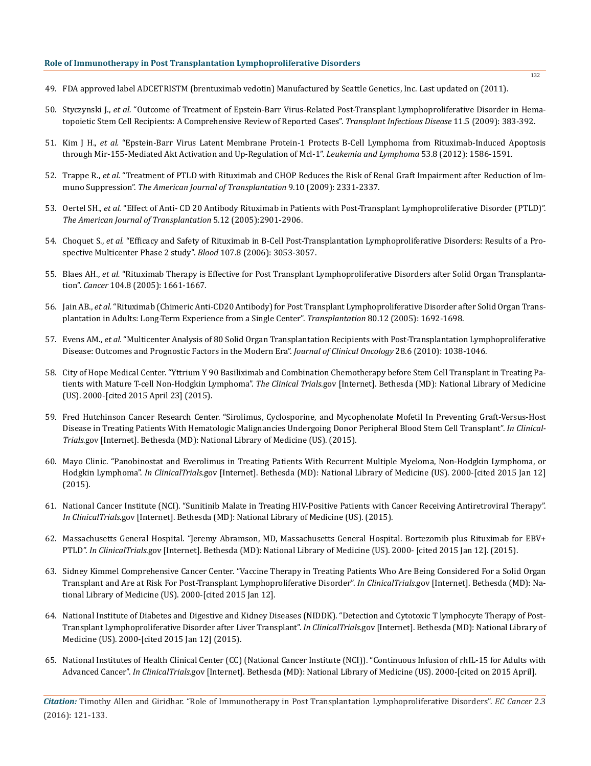- 49. FDA approved label ADCETRISTM (brentuximab vedotin) Manufactured by Seattle Genetics, Inc. Last updated on (2011).
- 50. Styczynski J., *et al.* "Outcome of Treatment of Epstein-Barr Virus-Related Post-Transplant Lymphoproliferative Disorder in Hematopoietic Stem Cell Recipients: A Comprehensive Review of Reported Cases". *Transplant Infectious Disease* 11.5 (2009): 383-392.
- 51. Kim J H., *et al.* "Epstein-Barr Virus Latent Membrane Protein-1 Protects B-Cell Lymphoma from Rituximab-Induced Apoptosis through Mir-155-Mediated Akt Activation and Up-Regulation of Mcl-1". *Leukemia and Lymphoma* 53.8 (2012): 1586-1591.
- 52. Trappe R., *et al.* "Treatment of PTLD with Rituximab and CHOP Reduces the Risk of Renal Graft Impairment after Reduction of Immuno Suppression". *The American Journal of Transplantation* 9.10 (2009): 2331-2337.
- 53. Oertel SH., *et al.* "Effect of Anti- CD 20 Antibody Rituximab in Patients with Post-Transplant Lymphoproliferative Disorder (PTLD)". *The American Journal of Transplantation* 5.12 (2005):2901-2906.
- 54. Choquet S., *et al.* "Efficacy and Safety of Rituximab in B-Cell Post-Transplantation Lymphoproliferative Disorders: Results of a Prospective Multicenter Phase 2 study". *Blood* 107.8 (2006): 3053-3057.
- 55. Blaes AH., *et al.* "Rituximab Therapy is Effective for Post Transplant Lymphoproliferative Disorders after Solid Organ Transplantation". *Cancer* 104.8 (2005): 1661-1667.
- 56. Jain AB., *et al.* "Rituximab (Chimeric Anti-CD20 Antibody) for Post Transplant Lymphoproliferative Disorder after Solid Organ Transplantation in Adults: Long-Term Experience from a Single Center". *Transplantation* 80.12 (2005): 1692-1698.
- 57. Evens AM., *et al.* "Multicenter Analysis of 80 Solid Organ Transplantation Recipients with Post-Transplantation Lymphoproliferative Disease: Outcomes and Prognostic Factors in the Modern Era". *Journal of Clinical Oncology* 28.6 (2010): 1038-1046.
- 58. City of Hope Medical Center. "Yttrium Y 90 Basiliximab and Combination Chemotherapy before Stem Cell Transplant in Treating Patients with Mature T-cell Non-Hodgkin Lymphoma". *The Clinical Trials*.gov [Internet]. Bethesda (MD): National Library of Medicine (US). 2000-[cited 2015 April 23] (2015).
- 59. Fred Hutchinson Cancer Research Center. "Sirolimus, Cyclosporine, and Mycophenolate Mofetil In Preventing Graft-Versus-Host Disease in Treating Patients With Hematologic Malignancies Undergoing Donor Peripheral Blood Stem Cell Transplant". *In Clinical-Trials*.gov [Internet]. Bethesda (MD): National Library of Medicine (US). (2015).
- 60. Mayo Clinic. "Panobinostat and Everolimus in Treating Patients With Recurrent Multiple Myeloma, Non-Hodgkin Lymphoma, or Hodgkin Lymphoma". *In ClinicalTrials*.gov [Internet]. Bethesda (MD): National Library of Medicine (US). 2000-[cited 2015 Jan 12] (2015).
- 61. National Cancer Institute (NCI). "Sunitinib Malate in Treating HIV-Positive Patients with Cancer Receiving Antiretroviral Therapy". *In ClinicalTrials*.gov [Internet]. Bethesda (MD): National Library of Medicine (US). (2015).
- 62. Massachusetts General Hospital. "Jeremy Abramson, MD, Massachusetts General Hospital. Bortezomib plus Rituximab for EBV+ PTLD". *In ClinicalTrials*.gov [Internet]. Bethesda (MD): National Library of Medicine (US). 2000- [cited 2015 Jan 12]. (2015).
- 63. Sidney Kimmel Comprehensive Cancer Center. "Vaccine Therapy in Treating Patients Who Are Being Considered For a Solid Organ Transplant and Are at Risk For Post-Transplant Lymphoproliferative Disorder". *In ClinicalTrials*.gov [Internet]. Bethesda (MD): National Library of Medicine (US). 2000-[cited 2015 Jan 12].
- 64. National Institute of Diabetes and Digestive and Kidney Diseases (NIDDK). "Detection and Cytotoxic T lymphocyte Therapy of Post-Transplant Lymphoproliferative Disorder after Liver Transplant". *In ClinicalTrials*.gov [Internet]. Bethesda (MD): National Library of Medicine (US). 2000-[cited 2015 Jan 12] (2015).
- 65. National Institutes of Health Clinical Center (CC) (National Cancer Institute (NCI)). "Continuous Infusion of rhIL-15 for Adults with Advanced Cancer". *In ClinicalTrials.*gov [Internet]. Bethesda (MD): National Library of Medicine (US). 2000-[cited on 2015 April].